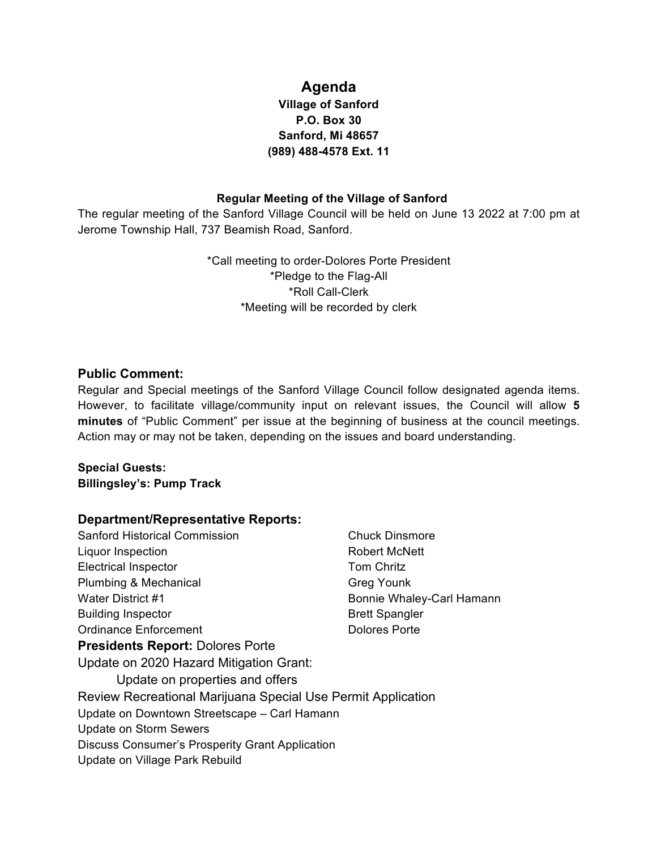# **Agenda**

## **Village of Sanford P.O. Box 30 Sanford, Mi 48657 (989) 488-4578 Ext. 11**

#### **Regular Meeting of the Village of Sanford**

The regular meeting of the Sanford Village Council will be held on June 13 2022 at 7:00 pm at Jerome Township Hall, 737 Beamish Road, Sanford.

> \*Call meeting to order-Dolores Porte President \*Pledge to the Flag-All \*Roll Call-Clerk \*Meeting will be recorded by clerk

### **Public Comment:**

Regular and Special meetings of the Sanford Village Council follow designated agenda items. However, to facilitate village/community input on relevant issues, the Council will allow **5 minutes** of "Public Comment" per issue at the beginning of business at the council meetings. Action may or may not be taken, depending on the issues and board understanding.

#### **Special Guests: Billingsley's: Pump Track**

#### **Department/Representative Reports:**

| <b>Sanford Historical Commission</b>                         | <b>Chuck Dinsmore</b>     |
|--------------------------------------------------------------|---------------------------|
| Liquor Inspection                                            | Robert McNett             |
| <b>Electrical Inspector</b>                                  | <b>Tom Chritz</b>         |
| Plumbing & Mechanical                                        | <b>Greg Younk</b>         |
| Water District #1                                            | Bonnie Whaley-Carl Hamann |
| <b>Building Inspector</b>                                    | <b>Brett Spangler</b>     |
| Ordinance Enforcement                                        | Dolores Porte             |
| <b>Presidents Report: Dolores Porte</b>                      |                           |
| Update on 2020 Hazard Mitigation Grant:                      |                           |
| Update on properties and offers                              |                           |
| Review Recreational Marijuana Special Use Permit Application |                           |
| Update on Downtown Streetscape - Carl Hamann                 |                           |
| <b>Update on Storm Sewers</b>                                |                           |
| Discuss Consumer's Prosperity Grant Application              |                           |
| Update on Village Park Rebuild                               |                           |